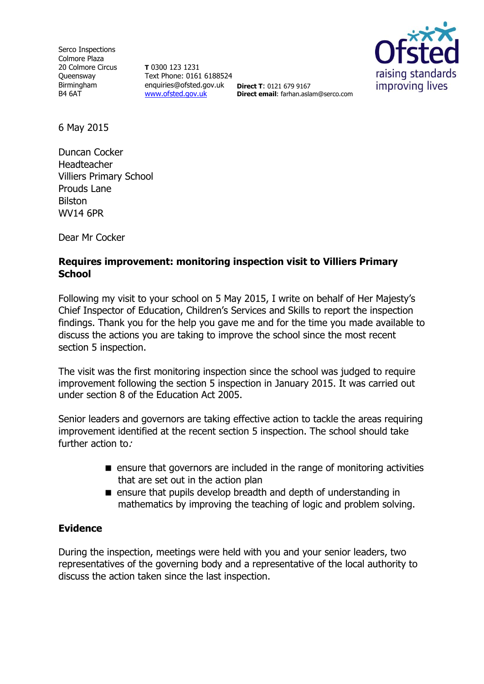Serco Inspections Colmore Plaza 20 Colmore Circus **Oueensway** Birmingham B4 6AT

**T** 0300 123 1231 Text Phone: 0161 6188524 enquiries@ofsted.gov.uk **Direct T**: 0121 679 9167 [www.ofsted.gov.uk](http://www.ofsted.gov.uk/)



**Direct email**: farhan.aslam@serco.com

6 May 2015

Duncan Cocker Headteacher Villiers Primary School Prouds Lane Bilston WV14 6PR

Dear Mr Cocker

# **Requires improvement: monitoring inspection visit to Villiers Primary School**

Following my visit to your school on 5 May 2015, I write on behalf of Her Majesty's Chief Inspector of Education, Children's Services and Skills to report the inspection findings. Thank you for the help you gave me and for the time you made available to discuss the actions you are taking to improve the school since the most recent section 5 inspection.

The visit was the first monitoring inspection since the school was judged to require improvement following the section 5 inspection in January 2015. It was carried out under section 8 of the Education Act 2005.

Senior leaders and governors are taking effective action to tackle the areas requiring improvement identified at the recent section 5 inspection. The school should take further action to:

- $\blacksquare$  ensure that governors are included in the range of monitoring activities that are set out in the action plan
- **E** ensure that pupils develop breadth and depth of understanding in mathematics by improving the teaching of logic and problem solving.

## **Evidence**

During the inspection, meetings were held with you and your senior leaders, two representatives of the governing body and a representative of the local authority to discuss the action taken since the last inspection.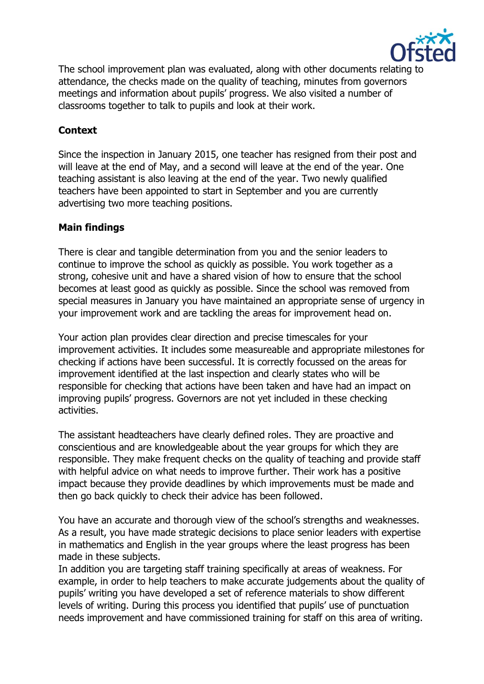

The school improvement plan was evaluated, along with other documents relating to attendance, the checks made on the quality of teaching, minutes from governors meetings and information about pupils' progress. We also visited a number of classrooms together to talk to pupils and look at their work.

# **Context**

Since the inspection in January 2015, one teacher has resigned from their post and will leave at the end of May, and a second will leave at the end of the year. One teaching assistant is also leaving at the end of the year. Two newly qualified teachers have been appointed to start in September and you are currently advertising two more teaching positions.

# **Main findings**

There is clear and tangible determination from you and the senior leaders to continue to improve the school as quickly as possible. You work together as a strong, cohesive unit and have a shared vision of how to ensure that the school becomes at least good as quickly as possible. Since the school was removed from special measures in January you have maintained an appropriate sense of urgency in your improvement work and are tackling the areas for improvement head on.

Your action plan provides clear direction and precise timescales for your improvement activities. It includes some measureable and appropriate milestones for checking if actions have been successful. It is correctly focussed on the areas for improvement identified at the last inspection and clearly states who will be responsible for checking that actions have been taken and have had an impact on improving pupils' progress. Governors are not yet included in these checking activities.

The assistant headteachers have clearly defined roles. They are proactive and conscientious and are knowledgeable about the year groups for which they are responsible. They make frequent checks on the quality of teaching and provide staff with helpful advice on what needs to improve further. Their work has a positive impact because they provide deadlines by which improvements must be made and then go back quickly to check their advice has been followed.

You have an accurate and thorough view of the school's strengths and weaknesses. As a result, you have made strategic decisions to place senior leaders with expertise in mathematics and English in the year groups where the least progress has been made in these subjects.

In addition you are targeting staff training specifically at areas of weakness. For example, in order to help teachers to make accurate judgements about the quality of pupils' writing you have developed a set of reference materials to show different levels of writing. During this process you identified that pupils' use of punctuation needs improvement and have commissioned training for staff on this area of writing.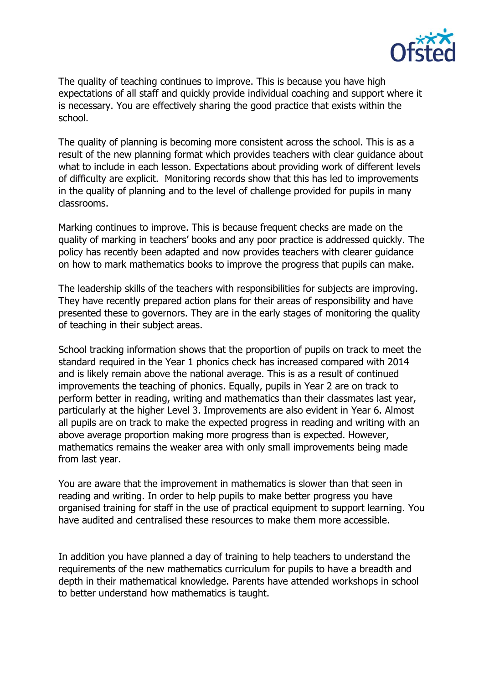

The quality of teaching continues to improve. This is because you have high expectations of all staff and quickly provide individual coaching and support where it is necessary. You are effectively sharing the good practice that exists within the school.

The quality of planning is becoming more consistent across the school. This is as a result of the new planning format which provides teachers with clear guidance about what to include in each lesson. Expectations about providing work of different levels of difficulty are explicit. Monitoring records show that this has led to improvements in the quality of planning and to the level of challenge provided for pupils in many classrooms.

Marking continues to improve. This is because frequent checks are made on the quality of marking in teachers' books and any poor practice is addressed quickly. The policy has recently been adapted and now provides teachers with clearer guidance on how to mark mathematics books to improve the progress that pupils can make.

The leadership skills of the teachers with responsibilities for subjects are improving. They have recently prepared action plans for their areas of responsibility and have presented these to governors. They are in the early stages of monitoring the quality of teaching in their subject areas.

School tracking information shows that the proportion of pupils on track to meet the standard required in the Year 1 phonics check has increased compared with 2014 and is likely remain above the national average. This is as a result of continued improvements the teaching of phonics. Equally, pupils in Year 2 are on track to perform better in reading, writing and mathematics than their classmates last year, particularly at the higher Level 3. Improvements are also evident in Year 6. Almost all pupils are on track to make the expected progress in reading and writing with an above average proportion making more progress than is expected. However, mathematics remains the weaker area with only small improvements being made from last year.

You are aware that the improvement in mathematics is slower than that seen in reading and writing. In order to help pupils to make better progress you have organised training for staff in the use of practical equipment to support learning. You have audited and centralised these resources to make them more accessible.

In addition you have planned a day of training to help teachers to understand the requirements of the new mathematics curriculum for pupils to have a breadth and depth in their mathematical knowledge. Parents have attended workshops in school to better understand how mathematics is taught.